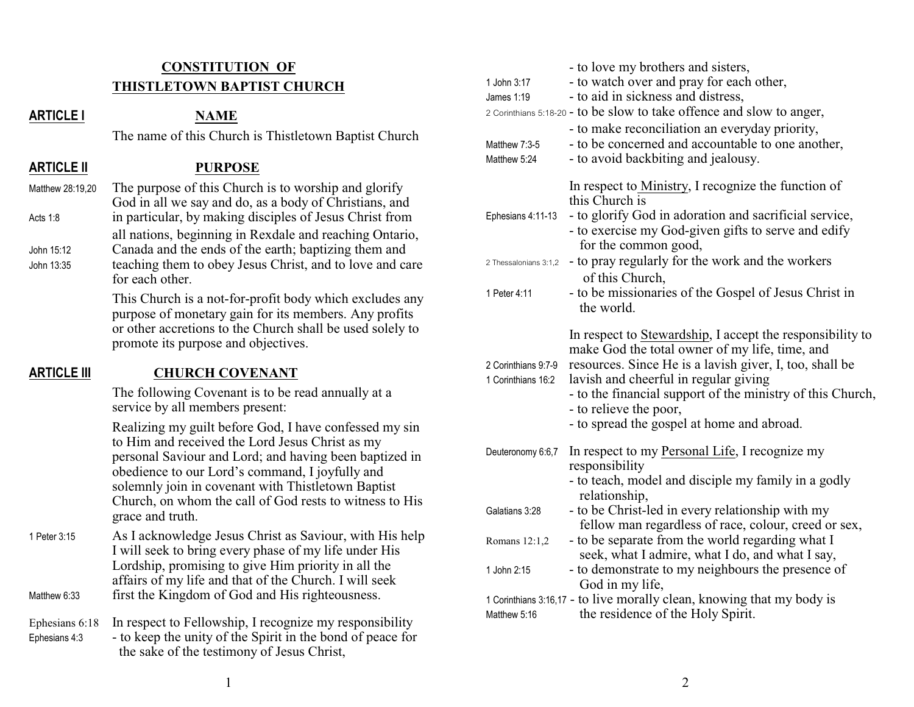# **CONSTITUTION OF THISTLETOWN BAPTIST CHURCH**

#### **ARTICLE I NAME**

The name of this Church is Thistletown Baptist Church

**ARTICLE II PURPOSE**

Matthew 28:19,20 The purpose of this Church is to worship and glorify God in all we say and do, as a body of Christians, and Acts 1:8 in particular, by making disciples of Jesus Christ from all nations, beginning in Rexdale and reaching Ontario, John 15:12 Canada and the ends of the earth; baptizing them and John 13:35 teaching them to obey Jesus Christ, and to love and care for each other.

> This Church is a not-for-profit body which excludes any purpose of monetary gain for its members. Any profits or other accretions to the Church shall be used solely to promote its purpose and objectives.

## **ARTICLE III CHURCH COVENANT**

The following Covenant is to be read annually at a service by all members present:

Realizing my guilt before God, I have confessed my sin to Him and received the Lord Jesus Christ as my personal Saviour and Lord; and having been baptized in obedience to our Lord's command, I joyfully and solemnly join in covenant with Thistletown Baptist Church, on whom the call of God rests to witness to His grace and truth.

1 Peter 3:15 As I acknowledge Jesus Christ as Saviour, with His help I will seek to bring every phase of my life under His Lordship, promising to give Him priority in all the affairs of my life and that of the Church. I will seek Matthew 6:33 first the Kingdom of God and His righteousness.

Ephesians 6:18 In respect to Fellowship, I recognize my responsibility  $E<sub>phesians</sub> 4:3$  - to keep the unity of the Spirit in the bond of peace for the sake of the testimony of Jesus Christ,

| 1 John 3:17<br>James 1:19<br>Matthew 7:3-5<br>Matthew 5:24 | - to love my brothers and sisters,<br>- to watch over and pray for each other,<br>- to aid in sickness and distress,<br>2 Corinthians 5:18-20 - to be slow to take offence and slow to anger,<br>- to make reconciliation an everyday priority,<br>- to be concerned and accountable to one another,<br>- to avoid backbiting and jealousy.                   |
|------------------------------------------------------------|---------------------------------------------------------------------------------------------------------------------------------------------------------------------------------------------------------------------------------------------------------------------------------------------------------------------------------------------------------------|
| Ephesians 4:11-13                                          | In respect to Ministry, I recognize the function of<br>this Church is<br>- to glorify God in adoration and sacrificial service,<br>- to exercise my God-given gifts to serve and edify<br>for the common good,                                                                                                                                                |
| 2 Thessalonians 3:1,2                                      | - to pray regularly for the work and the workers                                                                                                                                                                                                                                                                                                              |
| 1 Peter 4:11                                               | of this Church,<br>- to be missionaries of the Gospel of Jesus Christ in<br>the world.                                                                                                                                                                                                                                                                        |
| 2 Corinthians 9:7-9<br>1 Corinthians 16:2                  | In respect to <b>Stewardship</b> , I accept the responsibility to<br>make God the total owner of my life, time, and<br>resources. Since He is a lavish giver, I, too, shall be<br>lavish and cheerful in regular giving<br>- to the financial support of the ministry of this Church,<br>- to relieve the poor,<br>- to spread the gospel at home and abroad. |
| Deuteronomy 6:6,7                                          | In respect to my Personal Life, I recognize my<br>responsibility<br>- to teach, model and disciple my family in a godly                                                                                                                                                                                                                                       |
| Galatians 3:28                                             | relationship,<br>- to be Christ-led in every relationship with my<br>fellow man regardless of race, colour, creed or sex,                                                                                                                                                                                                                                     |
| Romans 12:1,2                                              | - to be separate from the world regarding what I                                                                                                                                                                                                                                                                                                              |
| 1 John 2:15                                                | seek, what I admire, what I do, and what I say,<br>- to demonstrate to my neighbours the presence of<br>God in my life,                                                                                                                                                                                                                                       |
| Matthew 5:16                                               | 1 Corinthians 3:16,17 - to live morally clean, knowing that my body is<br>the residence of the Holy Spirit.                                                                                                                                                                                                                                                   |
|                                                            |                                                                                                                                                                                                                                                                                                                                                               |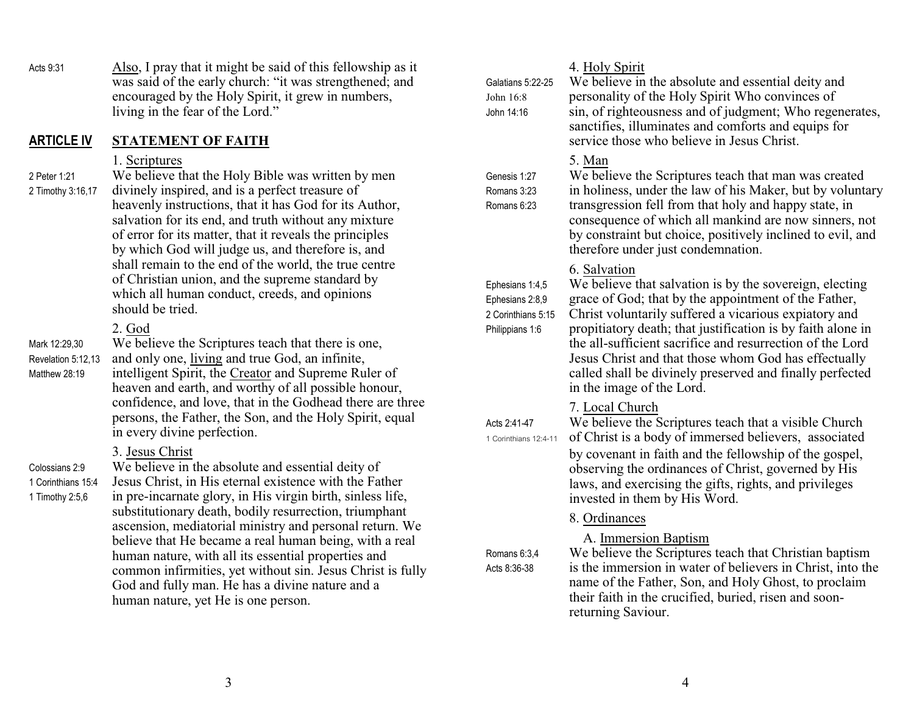Acts 9:31 Also, I pray that it might be said of this fellowship as it was said of the early church: "it was strengthened; and encouraged by the Holy Spirit, it grew in numbers, living in the fear of the Lord."

## **ARTICLE IV STATEMENT OF FAITH**

#### 1. Scriptures

2 Peter 1:21 We believe that the Holy Bible was written by men 2 Timothy 3:16,17 divinely inspired, and is a perfect treasure of heavenly instructions, that it has God for its Author, salvation for its end, and truth without any mixture of error for its matter, that it reveals the principles by which God will judge us, and therefore is, and shall remain to the end of the world, the true centre of Christian union, and the supreme standard by which all human conduct, creeds, and opinions should be tried.

# 2. God

Mark 12:29,30 We believe the Scriptures teach that there is one, Revelation 5:12,13 and only one, living and true God, an infinite, Matthew 28:19 intelligent Spirit, the Creator and Supreme Ruler of heaven and earth, and worthy of all possible honour, confidence, and love, that in the Godhead there are three persons, the Father, the Son, and the Holy Spirit, equal in every divine perfection.

# 3. Jesus Christ

Colossians 2:9 We believe in the absolute and essential deity of 1 Corinthians 15:4 Jesus Christ, in His eternal existence with the Father 1 Timothy 2:5,6 in pre-incarnate glory, in His virgin birth, sinless life, substitutionary death, bodily resurrection, triumphant ascension, mediatorial ministry and personal return. We believe that He became a real human being, with a real human nature, with all its essential properties and common infirmities, yet without sin. Jesus Christ is fully God and fully man. He has a divine nature and a human nature, yet He is one person.

| Galatians 5:22-25<br>John 16:8<br>John 14:16                                | 4. Holy Spirit<br>We believe in the absolute and essential deity and<br>personality of the Holy Spirit Who convinces of<br>sin, of righteousness and of judgment; Who regenerates,<br>sanctifies, illuminates and comforts and equips for<br>service those who believe in Jesus Christ.                                                                                                                                                                               |
|-----------------------------------------------------------------------------|-----------------------------------------------------------------------------------------------------------------------------------------------------------------------------------------------------------------------------------------------------------------------------------------------------------------------------------------------------------------------------------------------------------------------------------------------------------------------|
| Genesis 1:27<br>Romans 3:23<br>Romans 6:23                                  | 5. Man<br>We believe the Scriptures teach that man was created<br>in holiness, under the law of his Maker, but by voluntary<br>transgression fell from that holy and happy state, in<br>consequence of which all mankind are now sinners, not<br>by constraint but choice, positively inclined to evil, and<br>therefore under just condemnation.                                                                                                                     |
| Ephesians 1:4,5<br>Ephesians 2:8,9<br>2 Corinthians 5:15<br>Philippians 1:6 | 6. Salvation<br>We believe that salvation is by the sovereign, electing<br>grace of God; that by the appointment of the Father,<br>Christ voluntarily suffered a vicarious expiatory and<br>propitiatory death; that justification is by faith alone in<br>the all-sufficient sacrifice and resurrection of the Lord<br>Jesus Christ and that those whom God has effectually<br>called shall be divinely preserved and finally perfected<br>in the image of the Lord. |
| Acts 2:41-47<br>1 Corinthians 12:4-11                                       | 7. Local Church<br>We believe the Scriptures teach that a visible Church<br>of Christ is a body of immersed believers, associated<br>by covenant in faith and the fellowship of the gospel,<br>observing the ordinances of Christ, governed by His<br>laws, and exercising the gifts, rights, and privileges<br>invested in them by His Word.                                                                                                                         |
| Romans 6:3,4<br>Acts 8:36-38                                                | 8. Ordinances<br>A. Immersion Baptism<br>We believe the Scriptures teach that Christian baptism<br>is the immersion in water of believers in Christ, into the<br>name of the Father, Son, and Holy Ghost, to proclaim<br>their faith in the crucified, buried, risen and soon-<br>returning Saviour.                                                                                                                                                                  |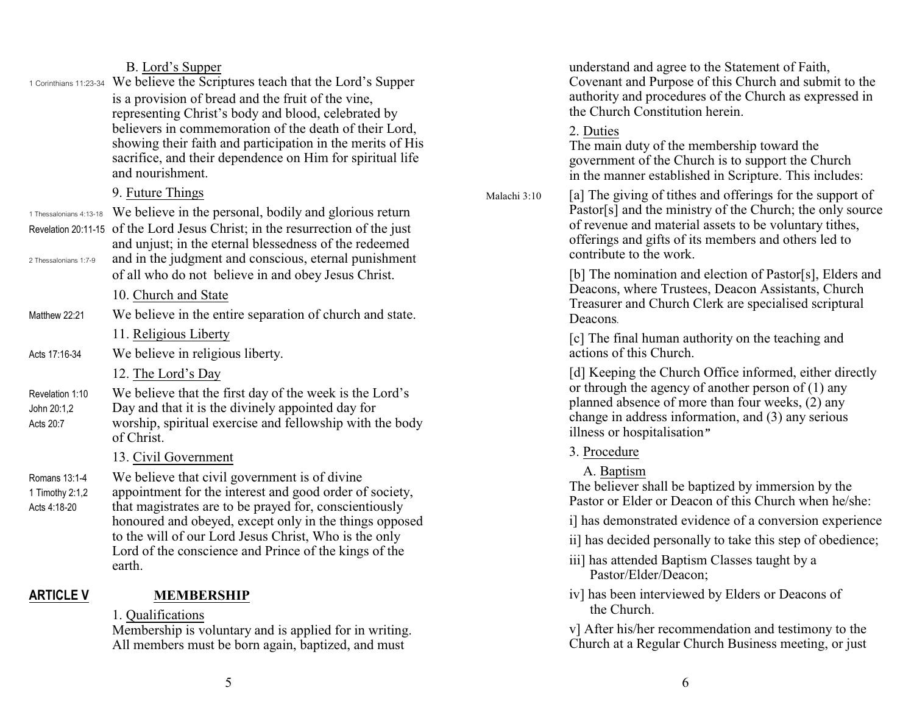## B. Lord's Supper

1 Corinthians 11:23-34 We believe the Scriptures teach that the Lord's Supper is a provision of bread and the fruit of the vine, representing Christ's body and blood, celebrated by believers in commemoration of the death of their Lord, showing their faith and participation in the merits of His sacrifice, and their dependence on Him for spiritual life and nourishment.

# 9. Future Things

1 Thessalonians 4:13-18 We believe in the personal, bodily and glorious return Revelation 20:11-15 of the Lord Jesus Christ; in the resurrection of the just and unjust; in the eternal blessedness of the redeemed 2 Thessalonians 1:7-9 and in the judgment and conscious, eternal punishment of all who do not believe in and obey Jesus Christ.

## 10. Church and State

- Matthew 22:21 We believe in the entire separation of church and state.
	- 11. Religious Liberty
- Acts 17:16-34 We believe in religious liberty.
	- 12. The Lord's Day

Revelation 1:10 We believe that the first day of the week is the Lord's John 20:1,2 Day and that it is the divinely appointed day for

Acts 20:7 worship, spiritual exercise and fellowship with the body of Christ.

# 13. Civil Government

Romans 13:1-4 We believe that civil government is of divine

1 Timothy 2:1,2 appointment for the interest and good order of society, Acts 4:18-20 that magistrates are to be prayed for, conscientiously honoured and obeyed, except only in the things opposed to the will of our Lord Jesus Christ, Who is the only Lord of the conscience and Prince of the kings of the earth.

# **ARTICLE V MEMBERSHIP**

## 1. Qualifications

Membership is voluntary and is applied for in writing. All members must be born again, baptized, and must

understand and agree to the Statement of Faith, Covenant and Purpose of this Church and submit to the authority and procedures of the Church as expressed in the Church Constitution herein.

2. Duties

The main duty of the membership toward the government of the Church is to support the Church in the manner established in Scripture. This includes:

Malachi 3:10 [a] The giving of tithes and offerings for the support of Pastor[s] and the ministry of the Church; the only source of revenue and material assets to be voluntary tithes, offerings and gifts of its members and others led to contribute to the work.

> [b] The nomination and election of Pastor[s], Elders and Deacons, where Trustees, Deacon Assistants, Church Treasurer and Church Clerk are specialised scriptural Deacons*.*

[c] The final human authority on the teaching and actions of this Church.

[d] Keeping the Church Office informed, either directly or through the agency of another person of (1) any planned absence of more than four weeks, (2) any change in address information, and (3) any serious illness or hospitalisation*"*

- 3. Procedure
	- A. Baptism

The believer shall be baptized by immersion by the Pastor or Elder or Deacon of this Church when he/she:

- i] has demonstrated evidence of a conversion experience
- ii] has decided personally to take this step of obedience;
- iii] has attended Baptism Classes taught by a Pastor/Elder/Deacon;
- iv] has been interviewed by Elders or Deacons of the Church.

v] After his/her recommendation and testimony to the Church at a Regular Church Business meeting, or just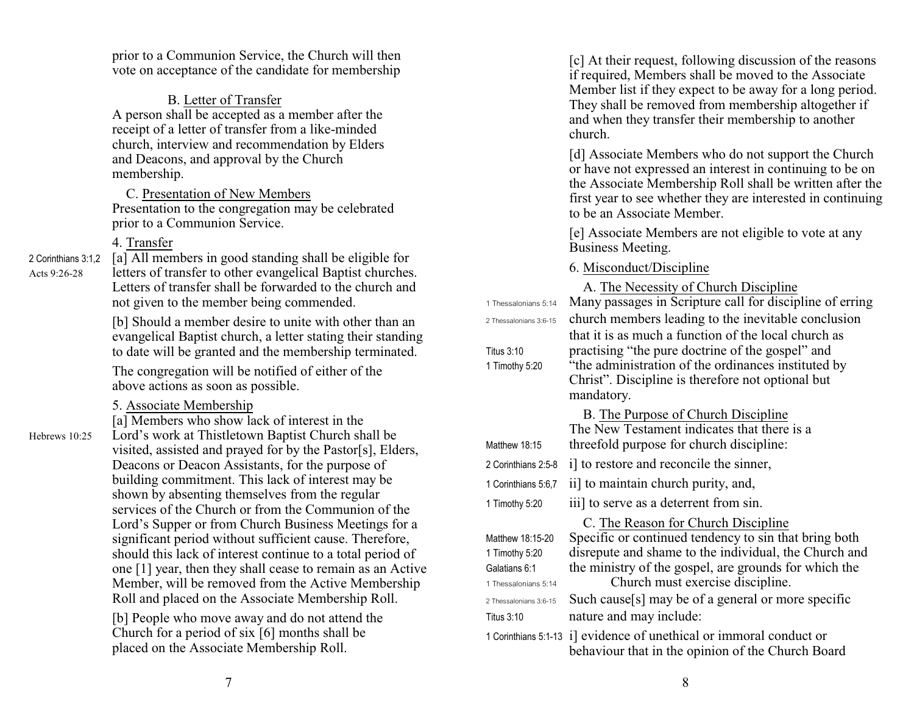prior to a Communion Service, the Church will then vote on acceptance of the candidate for membership

B. Letter of Transfer

A person shall be accepted as a member after the receipt of a letter of transfer from a like-minded church, interview and recommendation by Elders and Deacons, and approval by the Church membership.

 C. Presentation of New Members Presentation to the congregation may be celebrated prior to a Communion Service.

## 4. Transfer

2 Corinthians 3:1,2 [a] All members in good standing shall be eligible for Acts 9:26-28 letters of transfer to other evangelical Baptist churches. Letters of transfer shall be forwarded to the church and not given to the member being commended.

> [b] Should a member desire to unite with other than an evangelical Baptist church, a letter stating their standing to date will be granted and the membership terminated.

The congregation will be notified of either of the above actions as soon as possible.

5. Associate Membership

[a] Members who show lack of interest in the Hebrews 10:25 Lord's work at Thistletown Baptist Church shall be visited, assisted and prayed for by the Pastor[s], Elders, Deacons or Deacon Assistants, for the purpose of building commitment. This lack of interest may be shown by absenting themselves from the regular services of the Church or from the Communion of the Lord's Supper or from Church Business Meetings for a significant period without sufficient cause. Therefore, should this lack of interest continue to a total period of one [1] year, then they shall cease to remain as an Active Member, will be removed from the Active Membership Roll and placed on the Associate Membership Roll.

> [b] People who move away and do not attend the Church for a period of six [6] months shall be placed on the Associate Membership Roll.

[c] At their request, following discussion of the reasons if required, Members shall be moved to the Associate Member list if they expect to be away for a long period. They shall be removed from membership altogether if and when they transfer their membership to another church.

[d] Associate Members who do not support the Church or have not expressed an interest in continuing to be on the Associate Membership Roll shall be written after the first year to see whether they are interested in continuing to be an Associate Member.

[e] Associate Members are not eligible to vote at any Business Meeting.

6. Misconduct/Discipline

|                                                                             | A. The Necessity of Church Discipline                                                                                                                                                                                                              |
|-----------------------------------------------------------------------------|----------------------------------------------------------------------------------------------------------------------------------------------------------------------------------------------------------------------------------------------------|
| 1 Thessalonians 5:14                                                        | Many passages in Scripture call for discipline of erring                                                                                                                                                                                           |
| 2 Thessalonians 3:6-15                                                      | church members leading to the inevitable conclusion                                                                                                                                                                                                |
| Titus 3:10<br>1 Timothy 5:20                                                | that it is as much a function of the local church as<br>practising "the pure doctrine of the gospel" and<br>"the administration of the ordinances instituted by<br>Christ". Discipline is therefore not optional but<br>mandatory.                 |
| Matthew 18:15                                                               | B. The Purpose of Church Discipline<br>The New Testament indicates that there is a<br>threefold purpose for church discipline:                                                                                                                     |
| 2 Corinthians 2:5-8                                                         | i] to restore and reconcile the sinner,                                                                                                                                                                                                            |
| 1 Corinthians 5:6,7                                                         | ii] to maintain church purity, and,                                                                                                                                                                                                                |
| 1 Timothy 5:20                                                              | iii] to serve as a deterrent from sin.                                                                                                                                                                                                             |
| Matthew 18:15-20<br>1 Timothy 5:20<br>Galatians 6:1<br>1 Thessalonians 5:14 | C. The Reason for Church Discipline<br>Specific or continued tendency to sin that bring both<br>disrepute and shame to the individual, the Church and<br>the ministry of the gospel, are grounds for which the<br>Church must exercise discipline. |
| 2 Thessalonians 3:6-15                                                      | Such cause[s] may be of a general or more specific                                                                                                                                                                                                 |
| Titus 3:10                                                                  | nature and may include:                                                                                                                                                                                                                            |
| 1 Corinthians 5:1-13                                                        | i) evidence of unethical or immoral conduct or<br>behaviour that in the opinion of the Church Board                                                                                                                                                |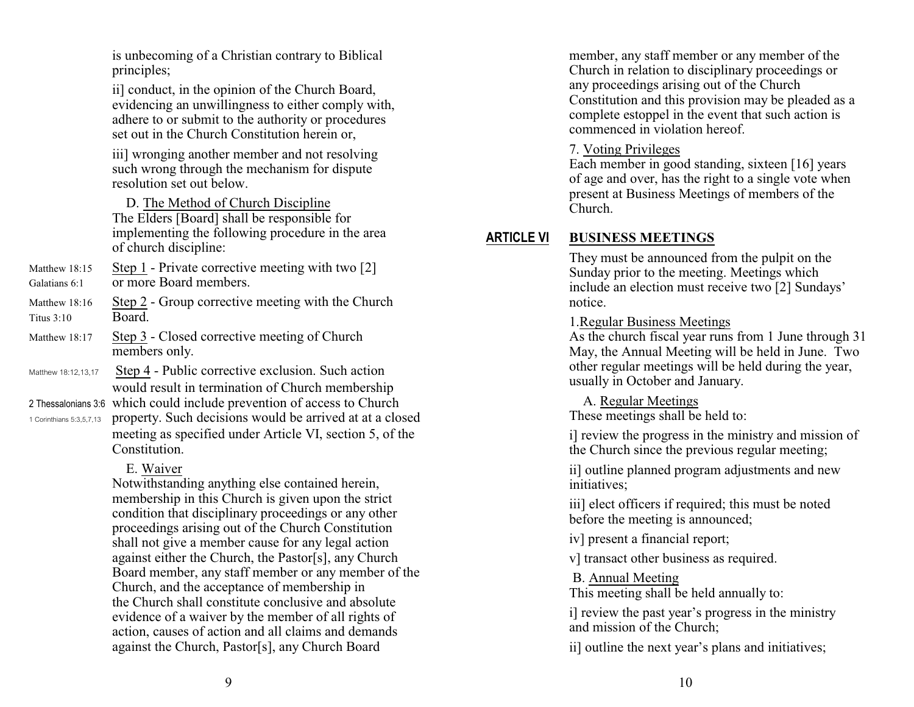is unbecoming of a Christian contrary to Biblical principles;

ii] conduct, in the opinion of the Church Board, evidencing an unwillingness to either comply with, adhere to or submit to the authority or procedures set out in the Church Constitution herein or,

iii] wronging another member and not resolving such wrong through the mechanism for dispute resolution set out below.

 D. The Method of Church Discipline The Elders [Board] shall be responsible for implementing the following procedure in the area of church discipline:

- Matthew 18:15 Step 1 Private corrective meeting with two [2] Galatians 6:1 or more Board members.
- Matthew 18:16 Step 2 Group corrective meeting with the Church Titus 3:10 Board.
- Matthew 18:17 Step 3 Closed corrective meeting of Church members only.
- Matthew 18:12,13,17 Step 4 Public corrective exclusion. Such action would result in termination of Church membership

2 Thessalonians 3:6 which could include prevention of access to Church 1 Corinthians 5:3,5,7,13 property. Such decisions would be arrived at at a closed meeting as specified under Article VI, section 5, of the Constitution.

## E. Waiver

Notwithstanding anything else contained herein, membership in this Church is given upon the strict condition that disciplinary proceedings or any other proceedings arising out of the Church Constitution shall not give a member cause for any legal action against either the Church, the Pastor[s], any Church Board member, any staff member or any member of the Church, and the acceptance of membership in the Church shall constitute conclusive and absolute evidence of a waiver by the member of all rights of action, causes of action and all claims and demands against the Church, Pastor[s], any Church Board

member, any staff member or any member of the Church in relation to disciplinary proceedings or any proceedings arising out of the Church Constitution and this provision may be pleaded as a complete estoppel in the event that such action is commenced in violation hereof.

## 7. Voting Privileges

Each member in good standing, sixteen [16] years of age and over, has the right to a single vote when present at Business Meetings of members of the Church.

# **ARTICLE VI BUSINESS MEETINGS**

They must be announced from the pulpit on the Sunday prior to the meeting. Meetings which include an election must receive two [2] Sundays' notice.

#### 1.Regular Business Meetings

As the church fiscal year runs from 1 June through 31 May, the Annual Meeting will be held in June. Two other regular meetings will be held during the year, usually in October and January.

A. Regular Meetings

These meetings shall be held to:

i] review the progress in the ministry and mission of the Church since the previous regular meeting;

ii] outline planned program adjustments and new initiatives;

iii] elect officers if required; this must be noted before the meeting is announced;

iv] present a financial report;

v] transact other business as required.

B. Annual Meeting

This meeting shall be held annually to:

i] review the past year's progress in the ministry and mission of the Church;

ii] outline the next year's plans and initiatives;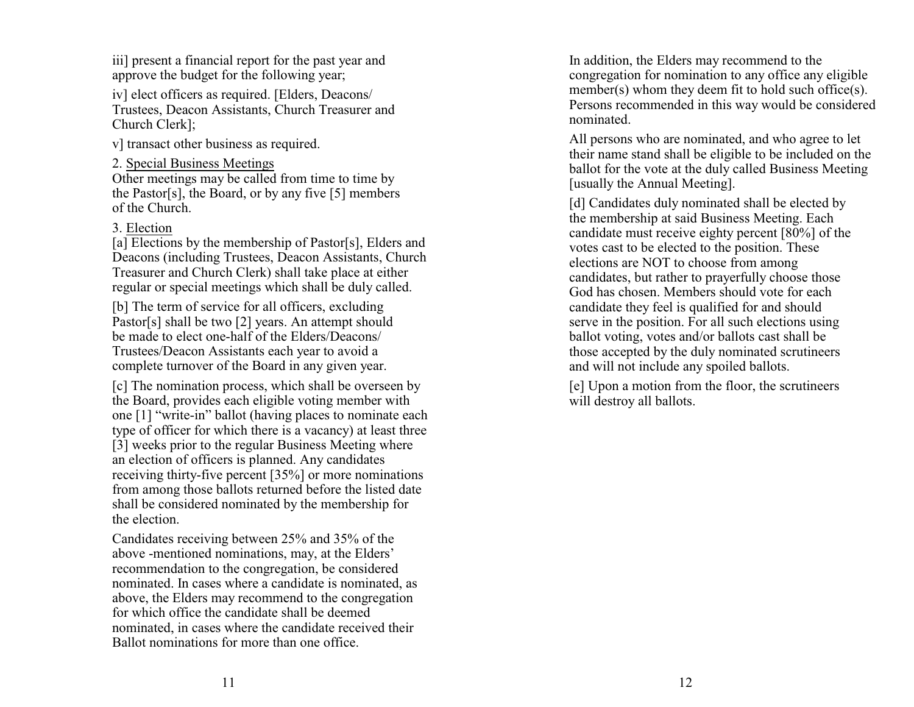iii] present a financial report for the past year and approve the budget for the following year;

iv] elect officers as required. [Elders, Deacons/ Trustees, Deacon Assistants, Church Treasurer and Church Clerk];

v] transact other business as required.

2. Special Business Meetings

Other meetings may be called from time to time by the Pastor[s], the Board, or by any five [5] members of the Church.

## 3. Election

[a] Elections by the membership of Pastor[s], Elders and Deacons (including Trustees, Deacon Assistants, Church Treasurer and Church Clerk) shall take place at either regular or special meetings which shall be duly called.

[b] The term of service for all officers, excluding Pastor[s] shall be two [2] years. An attempt should be made to elect one-half of the Elders/Deacons/ Trustees/Deacon Assistants each year to avoid a complete turnover of the Board in any given year.

[c] The nomination process, which shall be overseen by the Board, provides each eligible voting member with one [1] "write-in" ballot (having places to nominate each type of officer for which there is a vacancy) at least three [3] weeks prior to the regular Business Meeting where an election of officers is planned. Any candidates receiving thirty-five percent [35%] or more nominations from among those ballots returned before the listed date shall be considered nominated by the membership for the election.

Candidates receiving between 25% and 35% of the above -mentioned nominations, may, at the Elders' recommendation to the congregation, be considered nominated. In cases where a candidate is nominated, as above, the Elders may recommend to the congregation for which office the candidate shall be deemed nominated, in cases where the candidate received their Ballot nominations for more than one office.

In addition, the Elders may recommend to the congregation for nomination to any office any eligible member(s) whom they deem fit to hold such office(s). Persons recommended in this way would be considered nominated.

All persons who are nominated, and who agree to let their name stand shall be eligible to be included on the ballot for the vote at the duly called Business Meeting [usually the Annual Meeting].

[d] Candidates duly nominated shall be elected by the membership at said Business Meeting. Each candidate must receive eighty percent [80%] of the votes cast to be elected to the position. These elections are NOT to choose from among candidates, but rather to prayerfully choose those God has chosen. Members should vote for each candidate they feel is qualified for and should serve in the position. For all such elections using ballot voting, votes and/or ballots cast shall be those accepted by the duly nominated scrutineers and will not include any spoiled ballots.

[e] Upon a motion from the floor, the scrutineers will destroy all ballots.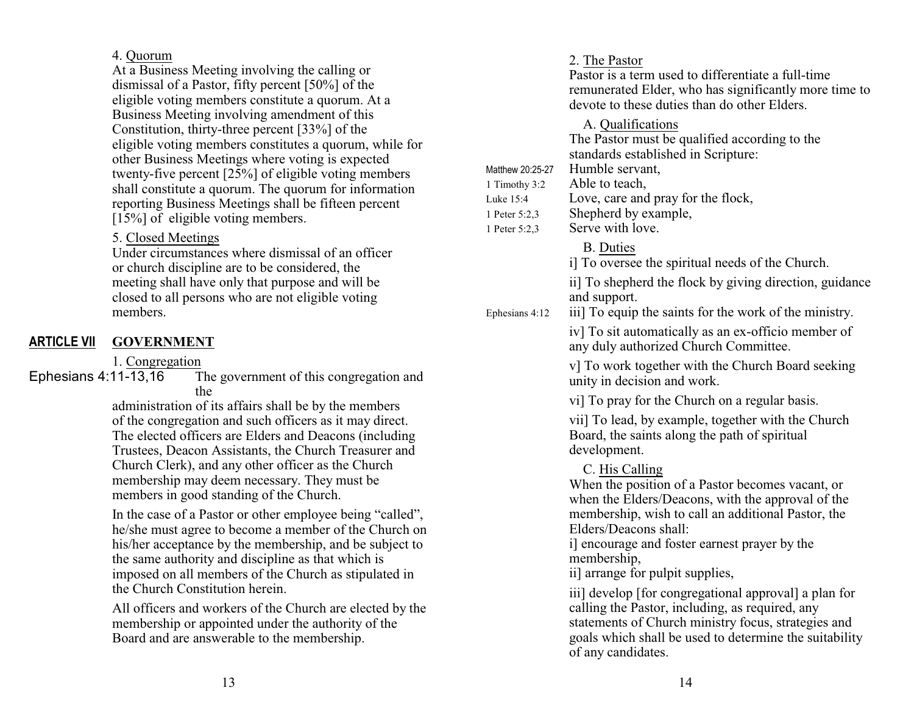#### 4. Quorum

At a Business Meeting involving the calling or dismissal of a Pastor, fifty percent [50%] of the eligible voting members constitute a quorum. At a Business Meeting involving amendment of this Constitution, thirty-three percent [33%] of the eligible voting members constitutes a quorum, while for other Business Meetings where voting is expected twenty-five percent [25%] of eligible voting members shall constitute a quorum. The quorum for information reporting Business Meetings shall be fifteen percent  $[15\%]$  of eligible voting members.

#### 5. Closed Meetings

Under circumstances where dismissal of an officer or church discipline are to be considered, the meeting shall have only that purpose and will be closed to all persons who are not eligible voting members.

# **ARTICLE VII GOVERNMENT**

1. Congregation<br>Ephesians 4:11-13,16 T The government of this congregation and the

administration of its affairs shall be by the members of the congregation and such officers as it may direct. The elected officers are Elders and Deacons (including Trustees, Deacon Assistants, the Church Treasurer and Church Clerk), and any other officer as the Church membership may deem necessary. They must be members in good standing of the Church.

In the case of a Pastor or other employee being "called", he/she must agree to become a member of the Church on his/her acceptance by the membership, and be subject to the same authority and discipline as that which is imposed on all members of the Church as stipulated in the Church Constitution herein.

All officers and workers of the Church are elected by the membership or appointed under the authority of the Board and are answerable to the membership.

# 2. The Pastor Pastor is a term used to differentiate a full-time remunerated Elder, who has significantly more time to devote to these duties than do other Elders. A. Qualifications The Pastor must be qualified according to the standards established in Scripture: Matthew 20:25-27 Humble servant. 1 Timothy 3:2 Able to teach, Luke 15:4 Love, care and pray for the flock, 1 Peter 5:2,3 Shepherd by example, 1 Peter 5:2,3 Serve with love. B. Duties i] To oversee the spiritual needs of the Church. ii] To shepherd the flock by giving direction, guidance and support. Ephesians  $4:12$  iii] To equip the saints for the work of the ministry. iv] To sit automatically as an ex-officio member of any duly authorized Church Committee. v] To work together with the Church Board seeking unity in decision and work. vi] To pray for the Church on a regular basis. vii] To lead, by example, together with the Church Board, the saints along the path of spiritual development. C. His Calling When the position of a Pastor becomes vacant, or when the Elders/Deacons, with the approval of the membership, wish to call an additional Pastor, the Elders/Deacons shall: i] encourage and foster earnest prayer by the membership, ii] arrange for pulpit supplies, iii] develop [for congregational approval] a plan for calling the Pastor, including, as required, any

statements of Church ministry focus, strategies and goals which shall be used to determine the suitability of any candidates.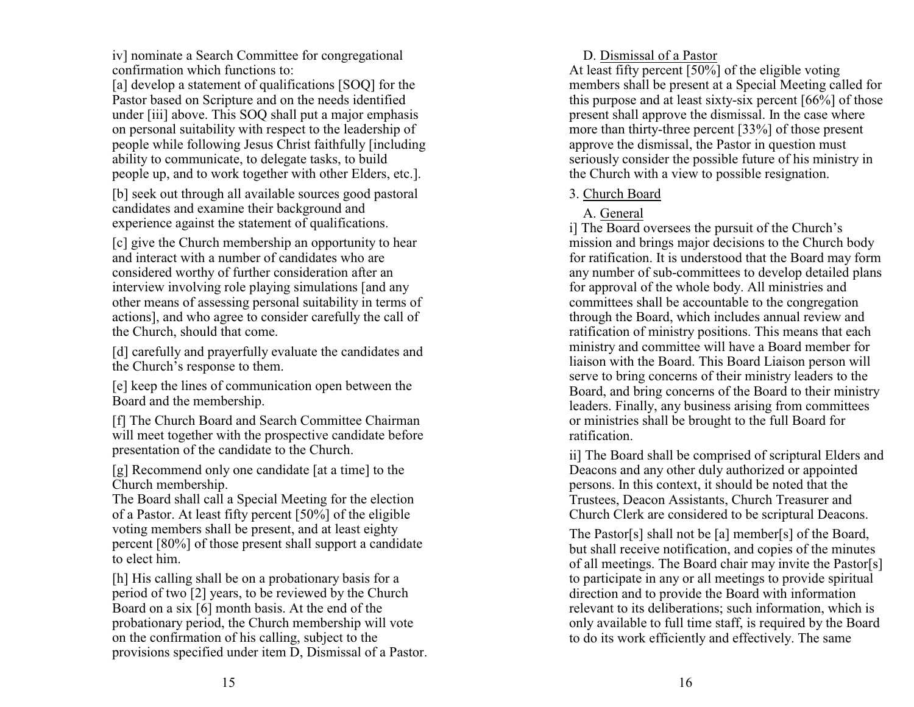iv] nominate a Search Committee for congregational confirmation which functions to:

[a] develop a statement of qualifications [SOQ] for the Pastor based on Scripture and on the needs identified under [iii] above. This SOQ shall put a major emphasis on personal suitability with respect to the leadership of people while following Jesus Christ faithfully [including ability to communicate, to delegate tasks, to build people up, and to work together with other Elders, etc.].

[b] seek out through all available sources good pastoral candidates and examine their background and experience against the statement of qualifications.

[c] give the Church membership an opportunity to hear and interact with a number of candidates who are considered worthy of further consideration after an interview involving role playing simulations [and any other means of assessing personal suitability in terms of actions], and who agree to consider carefully the call of the Church, should that come.

[d] carefully and prayerfully evaluate the candidates and the Church's response to them.

[e] keep the lines of communication open between the Board and the membership.

[f] The Church Board and Search Committee Chairman will meet together with the prospective candidate before presentation of the candidate to the Church.

[g] Recommend only one candidate [at a time] to the Church membership.

The Board shall call a Special Meeting for the election of a Pastor. At least fifty percent [50%] of the eligible voting members shall be present, and at least eighty percent [80%] of those present shall support a candidate to elect him.

[h] His calling shall be on a probationary basis for a period of two [2] years, to be reviewed by the Church Board on a six [6] month basis. At the end of the probationary period, the Church membership will vote on the confirmation of his calling, subject to the provisions specified under item D, Dismissal of a Pastor. D. Dismissal of a Pastor

At least fifty percent  $\sqrt{50\%}$  of the eligible voting members shall be present at a Special Meeting called for this purpose and at least sixty-six percent [66%] of those present shall approve the dismissal. In the case where more than thirty-three percent [33%] of those present approve the dismissal, the Pastor in question must seriously consider the possible future of his ministry in the Church with a view to possible resignation.

#### 3. Church Board

# A. General

i] The Board oversees the pursuit of the Church's mission and brings major decisions to the Church body for ratification. It is understood that the Board may form any number of sub-committees to develop detailed plans for approval of the whole body. All ministries and committees shall be accountable to the congregation through the Board, which includes annual review and ratification of ministry positions. This means that each ministry and committee will have a Board member for liaison with the Board. This Board Liaison person will serve to bring concerns of their ministry leaders to the Board, and bring concerns of the Board to their ministry leaders. Finally, any business arising from committees or ministries shall be brought to the full Board for ratification.

ii] The Board shall be comprised of scriptural Elders and Deacons and any other duly authorized or appointed persons. In this context, it should be noted that the Trustees, Deacon Assistants, Church Treasurer and Church Clerk are considered to be scriptural Deacons.

The Pastor[s] shall not be [a] member[s] of the Board, but shall receive notification, and copies of the minutes of all meetings. The Board chair may invite the Pastor[s] to participate in any or all meetings to provide spiritual direction and to provide the Board with information relevant to its deliberations; such information, which is only available to full time staff, is required by the Board to do its work efficiently and effectively. The same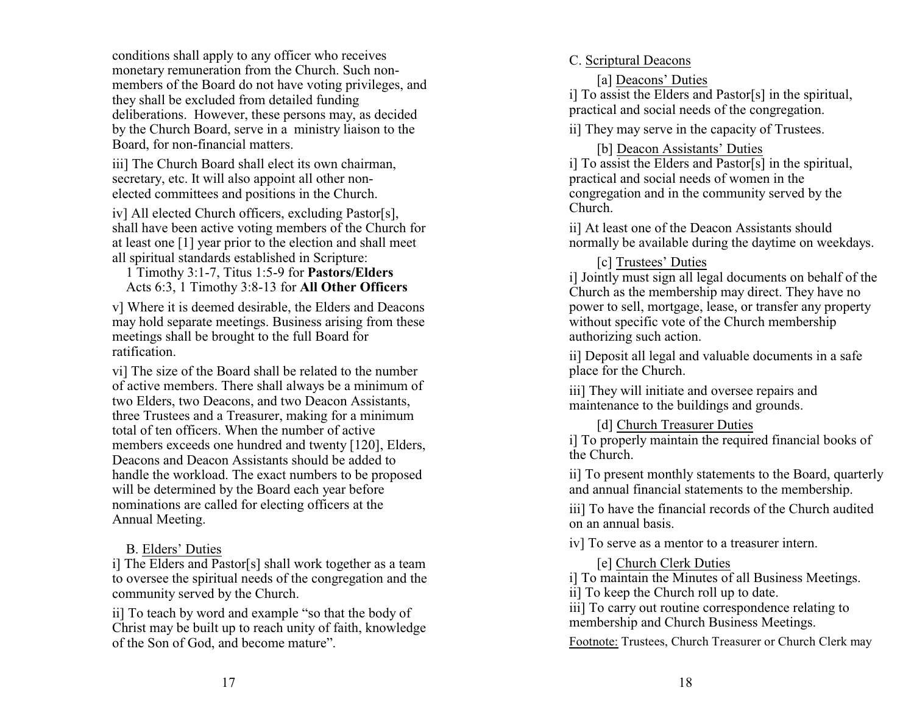conditions shall apply to any officer who receives monetary remuneration from the Church. Such nonmembers of the Board do not have voting privileges, and they shall be excluded from detailed funding deliberations. However, these persons may, as decided by the Church Board, serve in a ministry liaison to the Board, for non-financial matters.

iii] The Church Board shall elect its own chairman, secretary, etc. It will also appoint all other nonelected committees and positions in the Church.

iv] All elected Church officers, excluding Pastor[s], shall have been active voting members of the Church for at least one [1] year prior to the election and shall meet all spiritual standards established in Scripture:

 1 Timothy 3:1-7, Titus 1:5-9 for **Pastors/Elders** Acts 6:3, 1 Timothy 3:8-13 for **All Other Officers**

v] Where it is deemed desirable, the Elders and Deacons may hold separate meetings. Business arising from these meetings shall be brought to the full Board for ratification.

vi] The size of the Board shall be related to the number of active members. There shall always be a minimum of two Elders, two Deacons, and two Deacon Assistants, three Trustees and a Treasurer, making for a minimum total of ten officers. When the number of active members exceeds one hundred and twenty [120], Elders, Deacons and Deacon Assistants should be added to handle the workload. The exact numbers to be proposed will be determined by the Board each year before nominations are called for electing officers at the Annual Meeting.

## B. Elders' Duties

i] The Elders and Pastor[s] shall work together as a team to oversee the spiritual needs of the congregation and the community served by the Church.

ii] To teach by word and example "so that the body of Christ may be built up to reach unity of faith, knowledge of the Son of God, and become mature".

# C. Scriptural Deacons

[a] Deacons' Duties

i] To assist the Elders and Pastor[s] in the spiritual, practical and social needs of the congregation.

ii] They may serve in the capacity of Trustees.

[b] Deacon Assistants' Duties

i] To assist the Elders and Pastor[s] in the spiritual, practical and social needs of women in the congregation and in the community served by the Church.

ii] At least one of the Deacon Assistants should normally be available during the daytime on weekdays.

[c] Trustees' Duties

i] Jointly must sign all legal documents on behalf of the Church as the membership may direct. They have no power to sell, mortgage, lease, or transfer any property without specific vote of the Church membership authorizing such action.

ii] Deposit all legal and valuable documents in a safe place for the Church.

iii] They will initiate and oversee repairs and maintenance to the buildings and grounds.

[d] Church Treasurer Duties

i] To properly maintain the required financial books of the Church.

ii] To present monthly statements to the Board, quarterly and annual financial statements to the membership.

iii] To have the financial records of the Church audited on an annual basis.

iv] To serve as a mentor to a treasurer intern.

[e] Church Clerk Duties

i] To maintain the Minutes of all Business Meetings.

ii] To keep the Church roll up to date.

iii] To carry out routine correspondence relating to membership and Church Business Meetings.

Footnote: Trustees, Church Treasurer or Church Clerk may